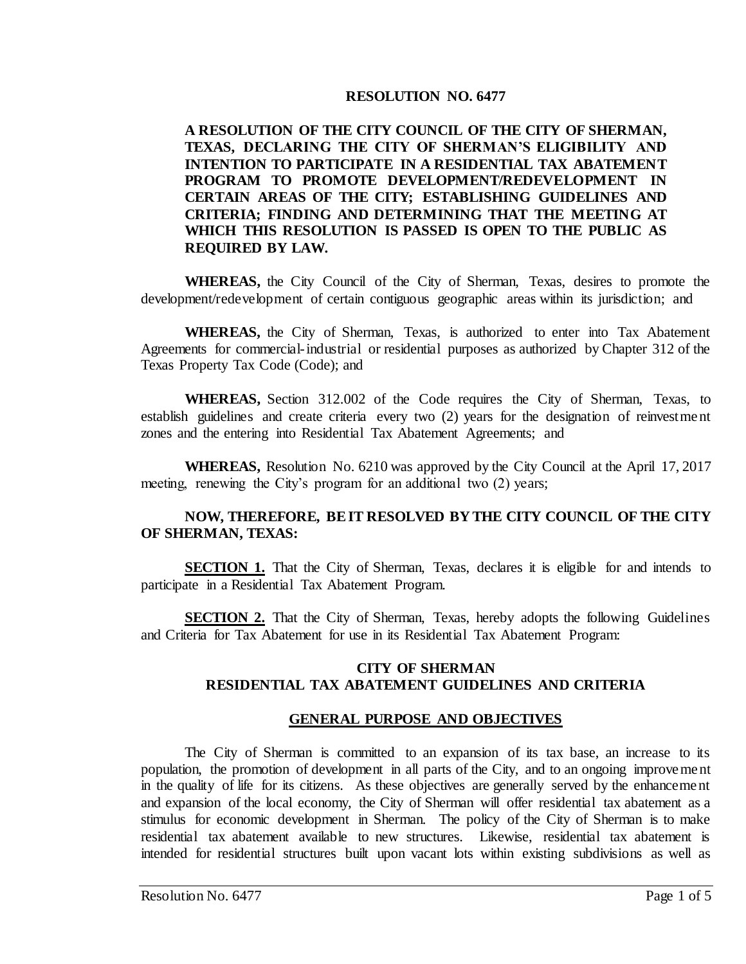### **RESOLUTION NO. 6477**

### **A RESOLUTION OF THE CITY COUNCIL OF THE CITY OF SHERMAN, TEXAS, DECLARING THE CITY OF SHERMAN'S ELIGIBILITY AND INTENTION TO PARTICIPATE IN A RESIDENTIAL TAX ABATEMENT PROGRAM TO PROMOTE DEVELOPMENT/REDEVELOPMENT IN CERTAIN AREAS OF THE CITY; ESTABLISHING GUIDELINES AND CRITERIA; FINDING AND DETERMINING THAT THE MEETING AT WHICH THIS RESOLUTION IS PASSED IS OPEN TO THE PUBLIC AS REQUIRED BY LAW.**

**WHEREAS,** the City Council of the City of Sherman, Texas, desires to promote the development/redevelopment of certain contiguous geographic areas within its jurisdiction; and

**WHEREAS,** the City of Sherman, Texas, is authorized to enter into Tax Abatement Agreements for commercial-industrial or residential purposes as authorized by Chapter 312 of the Texas Property Tax Code (Code); and

**WHEREAS,** Section 312.002 of the Code requires the City of Sherman, Texas, to establish guidelines and create criteria every two (2) years for the designation of reinvestment zones and the entering into Residential Tax Abatement Agreements; and

**WHEREAS,** Resolution No. 6210 was approved by the City Council at the April 17, 2017 meeting, renewing the City's program for an additional two (2) years;

# **NOW, THEREFORE, BE IT RESOLVED BY THE CITY COUNCIL OF THE CITY OF SHERMAN, TEXAS:**

**SECTION 1.** That the City of Sherman, Texas, declares it is eligible for and intends to participate in a Residential Tax Abatement Program.

**SECTION 2.** That the City of Sherman, Texas, hereby adopts the following Guidelines and Criteria for Tax Abatement for use in its Residential Tax Abatement Program:

#### **CITY OF SHERMAN RESIDENTIAL TAX ABATEMENT GUIDELINES AND CRITERIA**

# **GENERAL PURPOSE AND OBJECTIVES**

The City of Sherman is committed to an expansion of its tax base, an increase to its population, the promotion of development in all parts of the City, and to an ongoing improvement in the quality of life for its citizens. As these objectives are generally served by the enhancement and expansion of the local economy, the City of Sherman will offer residential tax abatement as a stimulus for economic development in Sherman. The policy of the City of Sherman is to make residential tax abatement available to new structures. Likewise, residential tax abatement is intended for residential structures built upon vacant lots within existing subdivisions as well as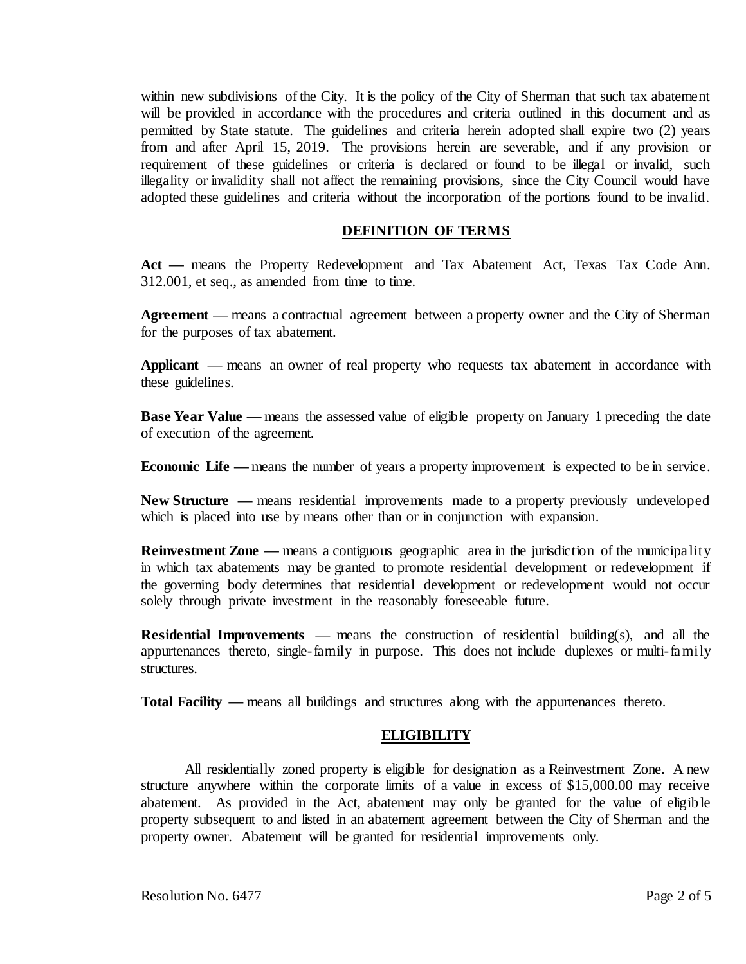within new subdivisions of the City. It is the policy of the City of Sherman that such tax abatement will be provided in accordance with the procedures and criteria outlined in this document and as permitted by State statute. The guidelines and criteria herein adopted shall expire two (2) years from and after April 15, 2019. The provisions herein are severable, and if any provision or requirement of these guidelines or criteria is declared or found to be illegal or invalid, such illegality or invalidity shall not affect the remaining provisions, since the City Council would have adopted these guidelines and criteria without the incorporation of the portions found to be invalid.

### **DEFINITION OF TERMS**

**Act —** means the Property Redevelopment and Tax Abatement Act, Texas Tax Code Ann. 312.001, et seq., as amended from time to time.

**Agreement —** means a contractual agreement between a property owner and the City of Sherman for the purposes of tax abatement.

**Applicant** — means an owner of real property who requests tax abatement in accordance with these guidelines.

**Base Year Value** — means the assessed value of eligible property on January 1 preceding the date of execution of the agreement.

**Economic Life** — means the number of years a property improvement is expected to be in service.

**New Structure —** means residential improvements made to a property previously undeveloped which is placed into use by means other than or in conjunction with expansion.

**Reinvestment Zone** — means a contiguous geographic area in the jurisdiction of the municipality in which tax abatements may be granted to promote residential development or redevelopment if the governing body determines that residential development or redevelopment would not occur solely through private investment in the reasonably foreseeable future.

**Residential Improvements —** means the construction of residential building(s), and all the appurtenances thereto, single-family in purpose. This does not include duplexes or multi-family structures.

**Total Facility —** means all buildings and structures along with the appurtenances thereto.

# **ELIGIBILITY**

All residentially zoned property is eligible for designation as a Reinvestment Zone. A new structure anywhere within the corporate limits of a value in excess of \$15,000.00 may receive abatement. As provided in the Act, abatement may only be granted for the value of eligible property subsequent to and listed in an abatement agreement between the City of Sherman and the property owner. Abatement will be granted for residential improvements only.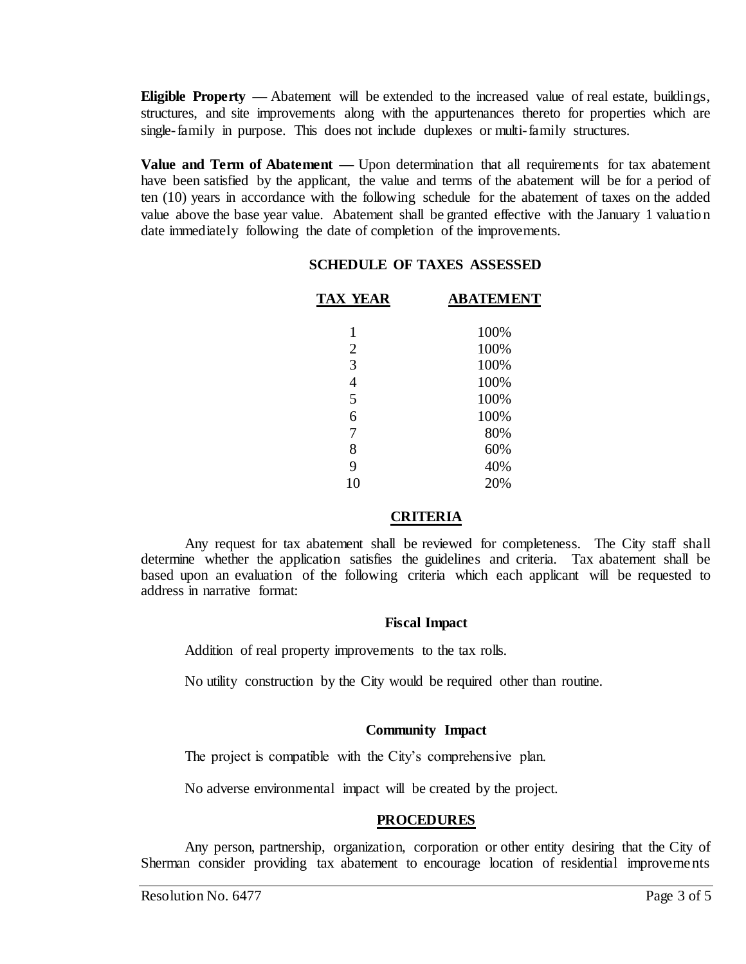**Eligible Property —** Abatement will be extended to the increased value of real estate, buildings, structures, and site improvements along with the appurtenances thereto for properties which are single-family in purpose. This does not include duplexes or multi-family structures.

**Value and Term of Abatement —** Upon determination that all requirements for tax abatement have been satisfied by the applicant, the value and terms of the abatement will be for a period of ten (10) years in accordance with the following schedule for the abatement of taxes on the added value above the base year value. Abatement shall be granted effective with the January 1 valuation date immediately following the date of completion of the improvements.

#### **SCHEDULE OF TAXES ASSESSED**

| <b>TAX YEAR</b> | <b>ABATEMENT</b> |
|-----------------|------------------|
|                 |                  |
| 1               | 100%             |
| $\overline{2}$  | 100%             |
| 3               | 100%             |
| $\overline{4}$  | 100%             |
| 5               | 100%             |
| 6               | 100%             |
| 7               | 80%              |
| 8               | 60%              |
| 9               | 40%              |
| 10              | 20%              |
|                 |                  |

#### **CRITERIA**

Any request for tax abatement shall be reviewed for completeness. The City staff shall determine whether the application satisfies the guidelines and criteria. Tax abatement shall be based upon an evaluation of the following criteria which each applicant will be requested to address in narrative format:

#### **Fiscal Impact**

Addition of real property improvements to the tax rolls.

No utility construction by the City would be required other than routine.

#### **Community Impact**

The project is compatible with the City's comprehensive plan.

No adverse environmental impact will be created by the project.

#### **PROCEDURES**

Any person, partnership, organization, corporation or other entity desiring that the City of Sherman consider providing tax abatement to encourage location of residential improvements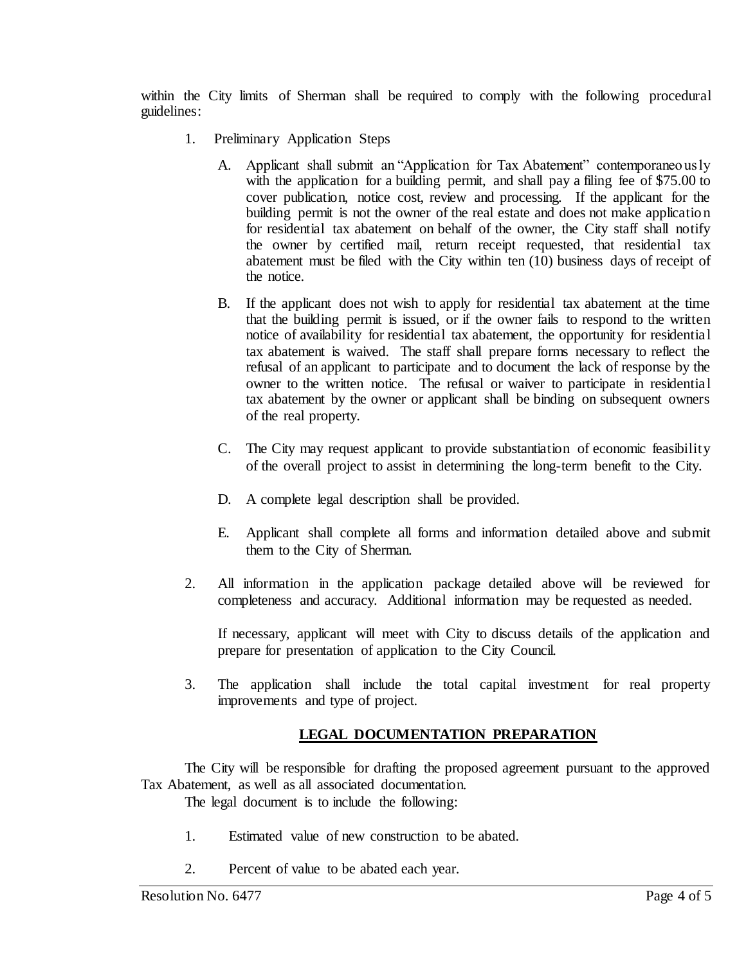within the City limits of Sherman shall be required to comply with the following procedural guidelines:

- 1. Preliminary Application Steps
	- A. Applicant shall submit an "Application for Tax Abatement" contemporaneously with the application for a building permit, and shall pay a filing fee of \$75.00 to cover publication, notice cost, review and processing. If the applicant for the building permit is not the owner of the real estate and does not make application for residential tax abatement on behalf of the owner, the City staff shall notify the owner by certified mail, return receipt requested, that residential tax abatement must be filed with the City within ten (10) business days of receipt of the notice.
	- B. If the applicant does not wish to apply for residential tax abatement at the time that the building permit is issued, or if the owner fails to respond to the written notice of availability for residential tax abatement, the opportunity for residential tax abatement is waived. The staff shall prepare forms necessary to reflect the refusal of an applicant to participate and to document the lack of response by the owner to the written notice. The refusal or waiver to participate in residential tax abatement by the owner or applicant shall be binding on subsequent owners of the real property.
	- C. The City may request applicant to provide substantiation of economic feasibility of the overall project to assist in determining the long-term benefit to the City.
	- D. A complete legal description shall be provided.
	- E. Applicant shall complete all forms and information detailed above and submit them to the City of Sherman.
- 2. All information in the application package detailed above will be reviewed for completeness and accuracy. Additional information may be requested as needed.

If necessary, applicant will meet with City to discuss details of the application and prepare for presentation of application to the City Council.

3. The application shall include the total capital investment for real property improvements and type of project.

# **LEGAL DOCUMENTATION PREPARATION**

The City will be responsible for drafting the proposed agreement pursuant to the approved Tax Abatement, as well as all associated documentation.

The legal document is to include the following:

- 1. Estimated value of new construction to be abated.
- 2. Percent of value to be abated each year.